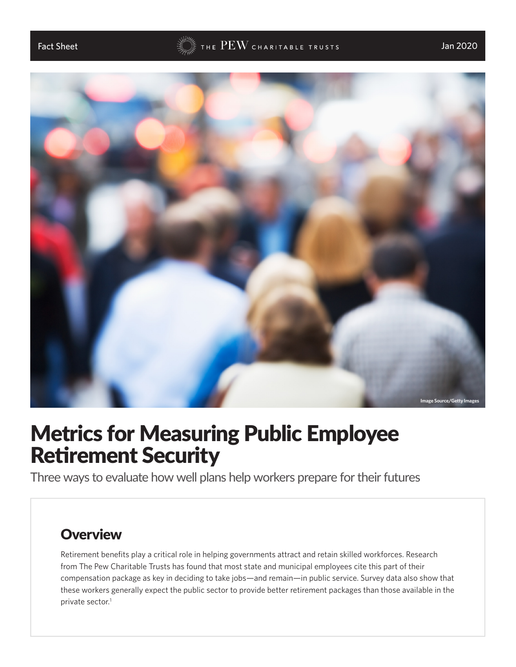

# Metrics for Measuring Public Employee Retirement Security

Three ways to evaluate how well plans help workers prepare for their futures

### **Overview**

Retirement benefits play a critical role in helping governments attract and retain skilled workforces. Research from The Pew Charitable Trusts has found that most state and municipal employees cite this part of their compensation package as key in deciding to take jobs—and remain—in public service. Survey data also show that these workers generally expect the public sector to provide better retirement packages than those available in the private sector.<sup>1</sup>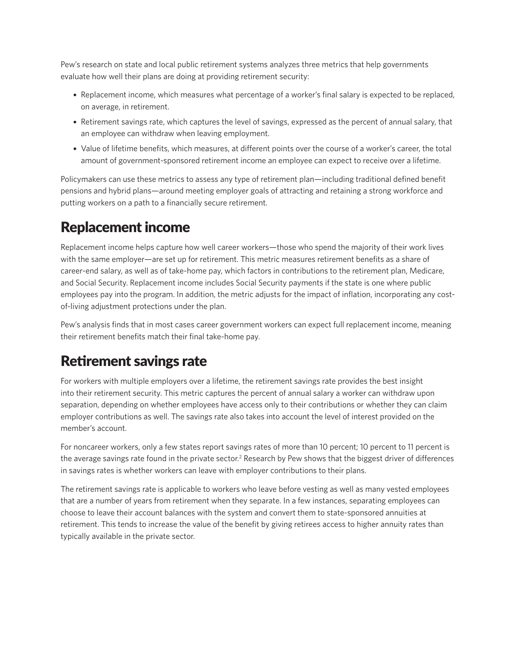Pew's research on state and local public retirement systems analyzes three metrics that help governments evaluate how well their plans are doing at providing retirement security:

- Replacement income, which measures what percentage of a worker's final salary is expected to be replaced, on average, in retirement.
- Retirement savings rate, which captures the level of savings, expressed as the percent of annual salary, that an employee can withdraw when leaving employment.
- Value of lifetime benefits, which measures, at different points over the course of a worker's career, the total amount of government-sponsored retirement income an employee can expect to receive over a lifetime.

Policymakers can use these metrics to assess any type of retirement plan—including traditional defined benefit pensions and hybrid plans—around meeting employer goals of attracting and retaining a strong workforce and putting workers on a path to a financially secure retirement.

# Replacement income

Replacement income helps capture how well career workers—those who spend the majority of their work lives with the same employer—are set up for retirement. This metric measures retirement benefits as a share of career-end salary, as well as of take-home pay, which factors in contributions to the retirement plan, Medicare, and Social Security. Replacement income includes Social Security payments if the state is one where public employees pay into the program. In addition, the metric adjusts for the impact of inflation, incorporating any costof-living adjustment protections under the plan.

Pew's analysis finds that in most cases career government workers can expect full replacement income, meaning their retirement benefits match their final take-home pay.

# Retirement savings rate

For workers with multiple employers over a lifetime, the retirement savings rate provides the best insight into their retirement security. This metric captures the percent of annual salary a worker can withdraw upon separation, depending on whether employees have access only to their contributions or whether they can claim employer contributions as well. The savings rate also takes into account the level of interest provided on the member's account.

For noncareer workers, only a few states report savings rates of more than 10 percent; 10 percent to 11 percent is the average savings rate found in the private sector.<sup>2</sup> Research by Pew shows that the biggest driver of differences in savings rates is whether workers can leave with employer contributions to their plans.

The retirement savings rate is applicable to workers who leave before vesting as well as many vested employees that are a number of years from retirement when they separate. In a few instances, separating employees can choose to leave their account balances with the system and convert them to state-sponsored annuities at retirement. This tends to increase the value of the benefit by giving retirees access to higher annuity rates than typically available in the private sector.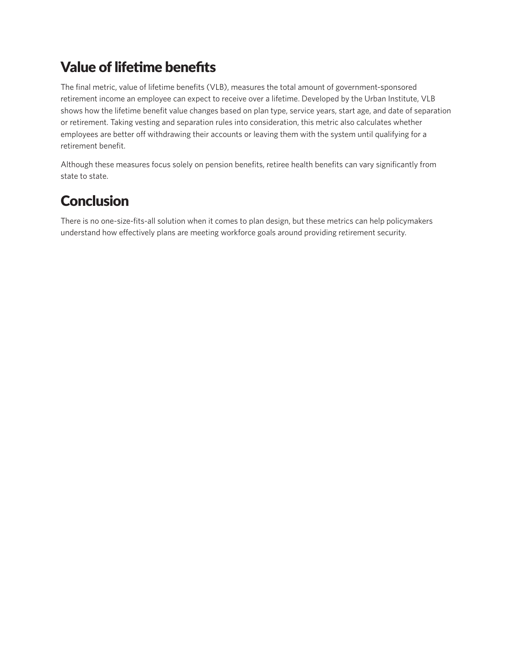# Value of lifetime benefits

The final metric, value of lifetime benefits (VLB), measures the total amount of government-sponsored retirement income an employee can expect to receive over a lifetime. Developed by the Urban Institute, VLB shows how the lifetime benefit value changes based on plan type, service years, start age, and date of separation or retirement. Taking vesting and separation rules into consideration, this metric also calculates whether employees are better off withdrawing their accounts or leaving them with the system until qualifying for a retirement benefit.

Although these measures focus solely on pension benefits, retiree health benefits can vary significantly from state to state.

## **Conclusion**

There is no one-size-fits-all solution when it comes to plan design, but these metrics can help policymakers understand how effectively plans are meeting workforce goals around providing retirement security.